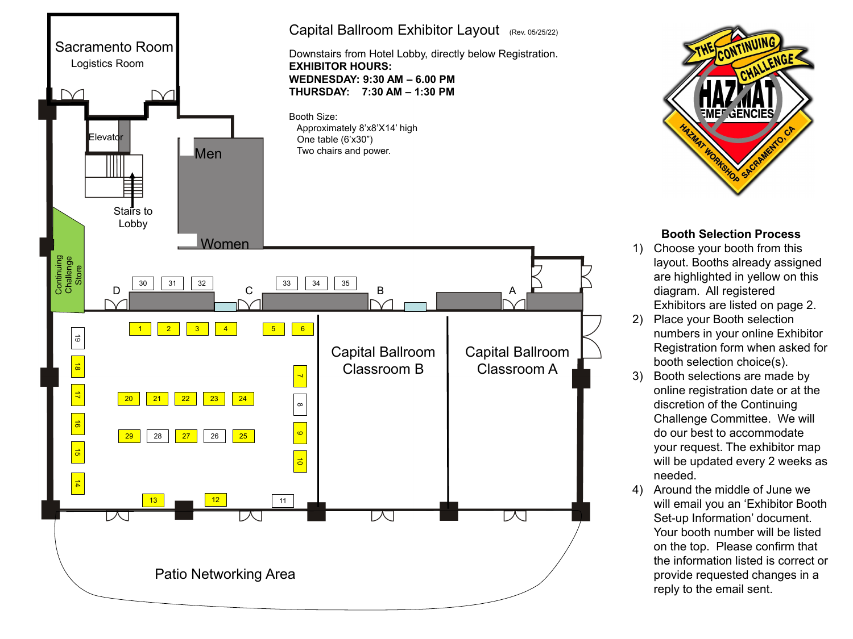



## **Booth Selection Process**

- 1) Choose your booth from this layout. Booths already assigned are highlighted in yellow on this diagram. All registered Exhibitors are listed on page 2.
- 2) Place your Booth selection numbers in your online Exhibitor Registration form when asked for booth selection choice(s).
- 3) Booth selections are made by online registration date or at the discretion of the Continuing Challenge Committee. We will do our best to accommodate your request. The exhibitor map will be updated every 2 weeks as needed.
- 4) Around the middle of June we will email you an 'Exhibitor Booth Set-up Information' document. Your booth number will be listed on the top. Please confirm that the information listed is correct or provide requested changes in a reply to the email sent.